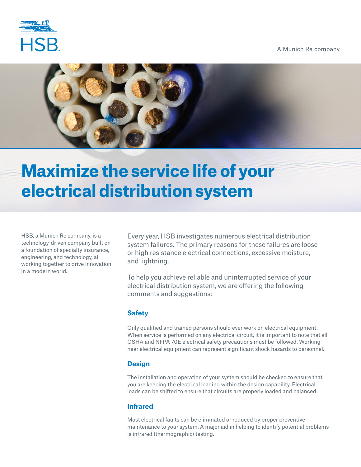

A Munich Re company



# **Maximize the service life of your electrical distribution system**

HSB, a Munich Re company, is a technology-driven company built on a foundation of specialty insurance, engineering, and technology, all working together to drive innovation in a modern world.

Every year, HSB investigates numerous electrical distribution system failures. The primary reasons for these failures are loose or high resistance electrical connections, excessive moisture, and lightning.

To help you achieve reliable and uninterrupted service of your electrical distribution system, we are offering the following comments and suggestions:

# **Safety**

Only qualified and trained persons should ever work on electrical equipment. When service is performed on any electrical circuit, it is important to note that all OSHA and NFPA 70E electrical safety precautions must be followed. Working near electrical equipment can represent significant shock hazards to personnel.

# **Design**

The installation and operation of your system should be checked to ensure that you are keeping the electrical loading within the design capability. Electrical loads can be shifted to ensure that circuits are properly loaded and balanced.

# **Infrared**

Most electrical faults can be eliminated or reduced by proper preventive maintenance to your system. A major aid in helping to identify potential problems is infrared (thermographic) testing.